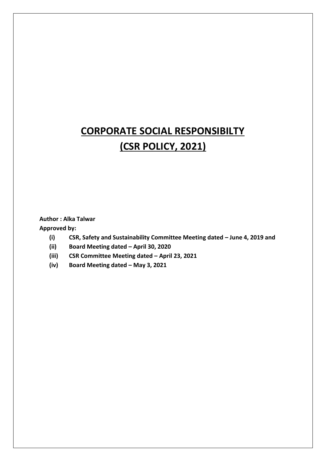# **CORPORATE SOCIAL RESPONSIBILTY (CSR POLICY, 2021)**

# **Author : Alka Talwar**

**Approved by:**

- **(i) CSR, Safety and Sustainability Committee Meeting dated – June 4, 2019 and**
- **(ii) Board Meeting dated – April 30, 2020**
- **(iii) CSR Committee Meeting dated – April 23, 2021**
- **(iv) Board Meeting dated – May 3, 2021**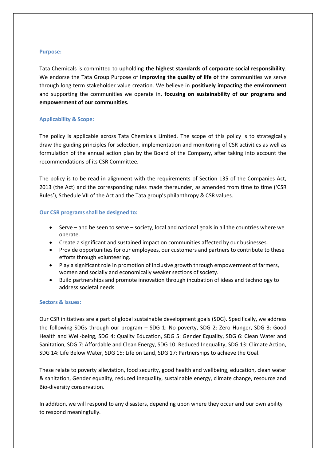#### **Purpose:**

Tata Chemicals is committed to upholding **the highest standards of corporate social responsibility**. We endorse the Tata Group Purpose of **improving the quality of life o**f the communities we serve through long term stakeholder value creation. We believe in **positively impacting the environment**  and supporting the communities we operate in, **focusing on sustainability of our programs and empowerment of our communities.** 

# **Applicability & Scope:**

The policy is applicable across Tata Chemicals Limited. The scope of this policy is to strategically draw the guiding principles for selection, implementation and monitoring of CSR activities as well as formulation of the annual action plan by the Board of the Company, after taking into account the recommendations of its CSR Committee.

The policy is to be read in alignment with the requirements of Section 135 of the Companies Act, 2013 (the Act) and the corresponding rules made thereunder, as amended from time to time ('CSR Rules'), Schedule VII of the Act and the Tata group's philanthropy & CSR values.

# **Our CSR programs shall be designed to:**

- Serve and be seen to serve society, local and national goals in all the countries where we operate.
- Create a significant and sustained impact on communities affected by our businesses.
- Provide opportunities for our employees, our customers and partners to contribute to these efforts through volunteering.
- Play a significant role in promotion of inclusive growth through empowerment of farmers, women and socially and economically weaker sections of society.
- Build partnerships and promote innovation through incubation of ideas and technology to address societal needs

# **Sectors & issues:**

Our CSR initiatives are a part of global sustainable development goals (SDG). Specifically, we address the following SDGs through our program – SDG 1: No poverty, SDG 2: Zero Hunger, SDG 3: Good Health and Well-being, SDG 4: Quality Education, SDG 5: Gender Equality, SDG 6: Clean Water and Sanitation, SDG 7: Affordable and Clean Energy, SDG 10: Reduced Inequality, SDG 13: Climate Action, SDG 14: Life Below Water, SDG 15: Life on Land, SDG 17: Partnerships to achieve the Goal.

These relate to poverty alleviation, food security, good health and wellbeing, education, clean water & sanitation, Gender equality, reduced inequality, sustainable energy, climate change, resource and Bio-diversity conservation.

In addition, we will respond to any disasters, depending upon where they occur and our own ability to respond meaningfully.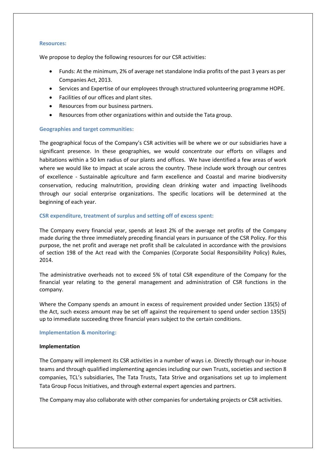#### **Resources:**

We propose to deploy the following resources for our CSR activities:

- Funds: At the minimum, 2% of average net standalone India profits of the past 3 years as per Companies Act, 2013.
- Services and Expertise of our employees through structured volunteering programme HOPE.
- Facilities of our offices and plant sites.
- Resources from our business partners.
- Resources from other organizations within and outside the Tata group.

# **Geographies and target communities:**

The geographical focus of the Company's CSR activities will be where we or our subsidiaries have a significant presence. In these geographies, we would concentrate our efforts on villages and habitations within a 50 km radius of our plants and offices. We have identified a few areas of work where we would like to impact at scale across the country. These include work through our centres of excellence - Sustainable agriculture and farm excellence and Coastal and marine biodiversity conservation, reducing malnutrition, providing clean drinking water and impacting livelihoods through our social enterprise organizations. The specific locations will be determined at the beginning of each year.

# **CSR expenditure, treatment of surplus and setting off of excess spent:**

The Company every financial year, spends at least 2% of the average net profits of the Company made during the three immediately preceding financial years in pursuance of the CSR Policy. For this purpose, the net profit and average net profit shall be calculated in accordance with the provisions of section 198 of the Act read with the Companies (Corporate Social Responsibility Policy) Rules, 2014.

The administrative overheads not to exceed 5% of total CSR expenditure of the Company for the financial year relating to the general management and administration of CSR functions in the company.

Where the Company spends an amount in excess of requirement provided under Section 135(5) of the Act, such excess amount may be set off against the requirement to spend under section 135(5) up to immediate succeeding three financial years subject to the certain conditions.

# **Implementation & monitoring:**

#### **Implementation**

The Company will implement its CSR activities in a number of ways i.e. Directly through our in-house teams and through qualified implementing agencies including our own Trusts, societies and section 8 companies, TCL's subsidiaries, The Tata Trusts, Tata Strive and organisations set up to implement Tata Group Focus Initiatives, and through external expert agencies and partners.

The Company may also collaborate with other companies for undertaking projects or CSR activities.